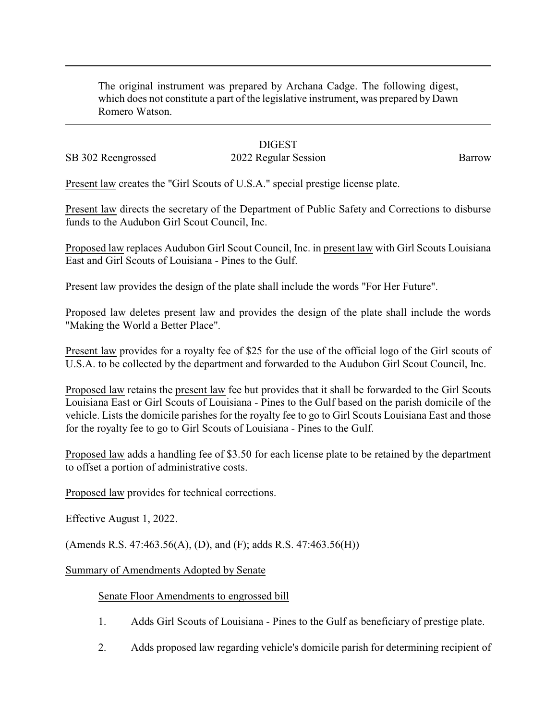The original instrument was prepared by Archana Cadge. The following digest, which does not constitute a part of the legislative instrument, was prepared by Dawn Romero Watson.

## **DIGEST**

SB 302 Reengrossed 2022 Regular Session Barrow

Present law creates the "Girl Scouts of U.S.A." special prestige license plate.

Present law directs the secretary of the Department of Public Safety and Corrections to disburse funds to the Audubon Girl Scout Council, Inc.

Proposed law replaces Audubon Girl Scout Council, Inc. in present law with Girl Scouts Louisiana East and Girl Scouts of Louisiana - Pines to the Gulf.

Present law provides the design of the plate shall include the words "For Her Future".

Proposed law deletes present law and provides the design of the plate shall include the words "Making the World a Better Place".

Present law provides for a royalty fee of \$25 for the use of the official logo of the Girl scouts of U.S.A. to be collected by the department and forwarded to the Audubon Girl Scout Council, Inc.

Proposed law retains the present law fee but provides that it shall be forwarded to the Girl Scouts Louisiana East or Girl Scouts of Louisiana - Pines to the Gulf based on the parish domicile of the vehicle. Lists the domicile parishes for the royalty fee to go to Girl Scouts Louisiana East and those for the royalty fee to go to Girl Scouts of Louisiana - Pines to the Gulf.

Proposed law adds a handling fee of \$3.50 for each license plate to be retained by the department to offset a portion of administrative costs.

Proposed law provides for technical corrections.

Effective August 1, 2022.

(Amends R.S. 47:463.56(A), (D), and (F); adds R.S. 47:463.56(H))

Summary of Amendments Adopted by Senate

## Senate Floor Amendments to engrossed bill

- 1. Adds Girl Scouts of Louisiana Pines to the Gulf as beneficiary of prestige plate.
- 2. Adds proposed law regarding vehicle's domicile parish for determining recipient of